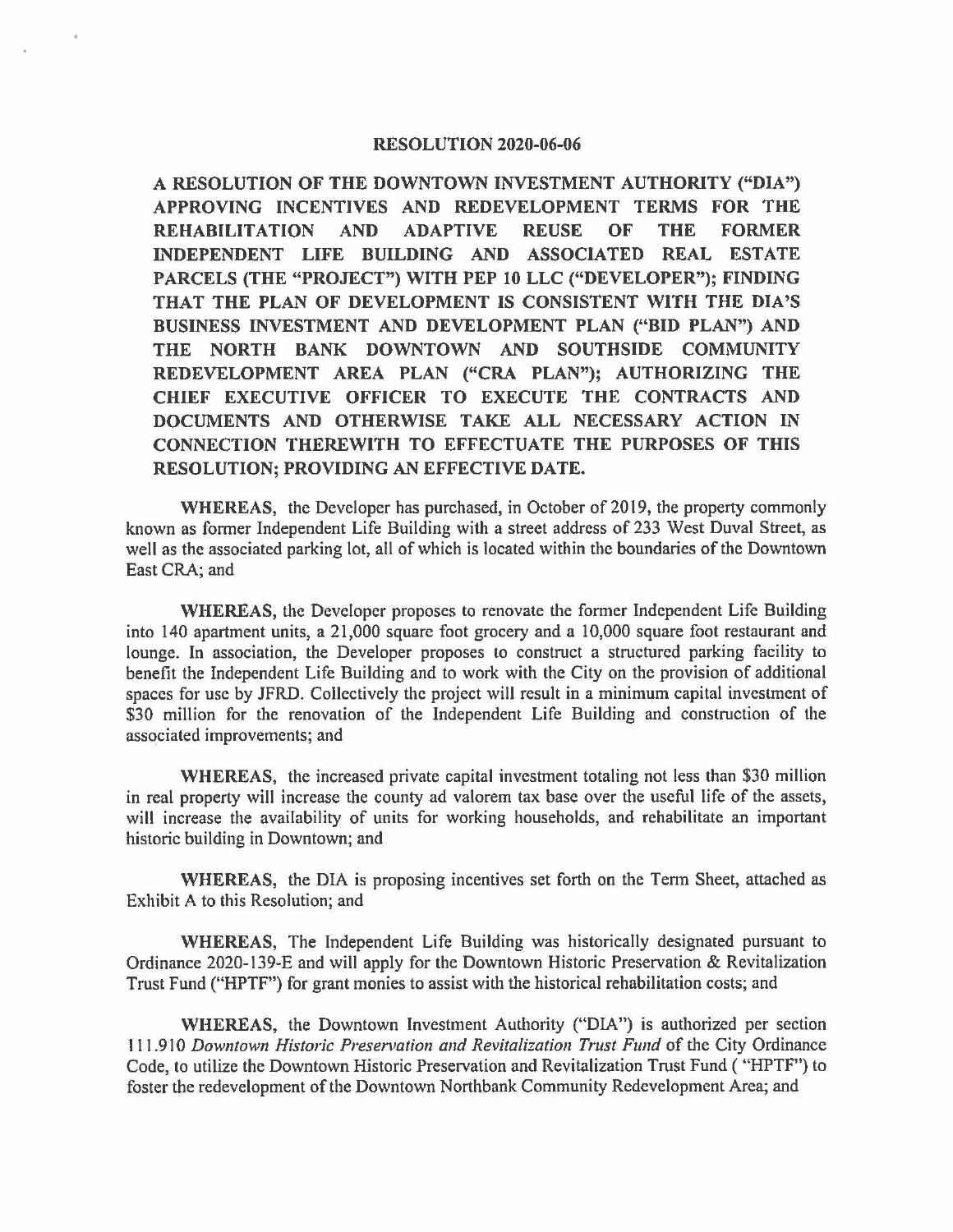#### **RESOLUTION 2020-06-06**

**A RESOLUTION OF THE DOWNTOWN INVESTMENT AUTHORITY ("DIA") APPROVING INCENTIVES AND REDEVELOPMENT TERMS FOR THE REHABILITATION AND ADAPTIVE REUSE OF THE FORMER INDEPENDENT LIFE BUILDING AND ASSOCIATED REAL ESTATE PARCELS (THE "PROJECT") WITH PEP 10 LLC ("DEVELOPER"); FINDING THAT THE PLAN OF DEVELOPMENT IS CONSISTENT WITH THE DIA'S BUSINESS INVESTMENT AND DEVELOPMENT PLAN ("BID PLAN") AND THE NORTH BANK DOWNTOWN AND SOUTHSIDE COMMUNITY REDEVELOPMENT AREA PLAN ("CRA PLAN"); AUTHORIZING THE CHIEF EXECUTIVE OFFICER TO EXECUTE THE CONTRACTS AND DOCUMENTS AND OTHERWISE TAKE ALL NECESSARY ACTION IN CONNECTION THEREWITH TO EFFECTUATE THE PURPOSES OF THIS RESOLUTION; PROVIDING AN EFFECTIVE DATE.** 

**WHEREAS,** the Developer has purchased, in October of 2019, the property commonly known as fonner Independent Life Building with a street address of 233 West Duval Street, as well as the associated parking lot, all of which is located within the boundaries of the Downtown East CRA; and

WHEREAS, the Developer proposes to renovate the former Independent Life Building into 140 apartment units, a 21,000 square foot grocery and a 10,000 square foot restaurant and lounge. In association, the Developer proposes to construct a structured parking facility to benefit the Independent Life Building and to work with the City on the provision of additional spaces for use by JFRD. Collectively the project will result in a minimum capital investment of \$30 million for the renovation of the Independent Life Building and construction of the associated improvements; and

**WHEREAS,** the increased private capital investment totaling not less than \$30 million in real property will increase the county ad valorem tax base over the useful life of the assets, will increase the availability of units for working households, and rehabilitate an important historic building in Downtown; and

**WHEREAS,** the DIA is proposing incentives set forth on the Term Sheet, attached as Exhibit A to this Resolution; and

**WHEREAS,** The Independent Life Building was historically designated pursuant to Ordinance 2020-139-E and will apply for the Downtown Historic Preservation & Revitalization Trust Fund ("HPTF") for grant monies to assist with the historical rehabilitation costs; and

**WHEREAS,** the Downtown Investment Authority ("DIA") is authorized per section 11 I .910 *Downtown Historic Preservation and Revitalization Trust Fund* of the City Ordinance Code, to utilize the Downtown Historic Preservation and Revitalization Trust Fund ( "HPTF") to foster the redevelopment of the Downtown Northbank Community Redevelopment Area; and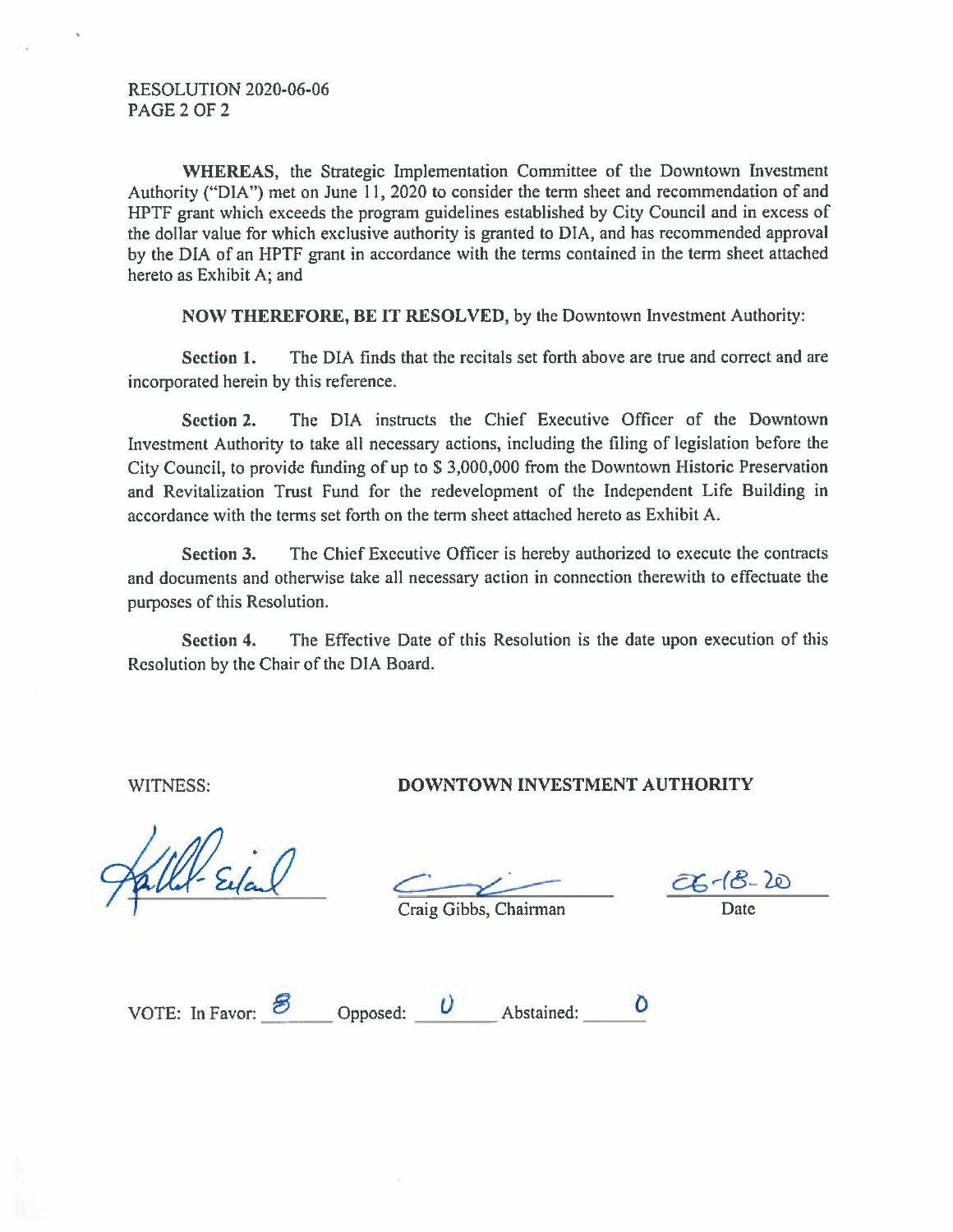RESOLUTION 2020-06-06 PAGE2 Of 2

**WHEREAS,** the Strategic Implementation Committee of the Downtown Investment Authority ("DIA") met on June 11, 2020 to consider the term sheet and recommendation of and HPTF grant which exceeds the program guidelines established by City Council and in excess of the dollar value for which exclusive authority is granted to DIA, and has recommended approval by the DIA of an HPTF grant in accordance with the terms contained in the term sheet attached hereto as Exhibit A; and

**NOW THEREFORE, BE IT RESOLVED, by the Downtown Investment Authority:** 

**Section 1.** The DIA finds that the recitals set forth above are true and correct and are incorporated herein by this reference.

**Section 2.** The DIA instructs the Chief Executive Officer of the Downtown Investment Authority to take all necessary actions, including the filing of legislation before the City Council, to provide funding of up to \$ 3,000,000 from the Downtown Historic Preservation and Revitalization Trust Fund for the redevelopment of the Independent Life Building in accordance with the terms set forth on the term sheet attached hereto as Exhibit A.

**Section 3.** The Chief Executive Officer is hereby authorized to execute the contracts and documents and otherwise take all necessary action in connection therewith to effectuate the purposes of this Resolution.

**Section 4.** The Effective Date of this Resolution is the date upon execution of this Resolution by the Chair of the DIA Board.

WITNESS: **DOWNTOWN INVESTMENT AUTHORITY** 

Craig Gibbs, Chairman Date

| VOTE: In Favor: | Opposed: | Abstained: |  |
|-----------------|----------|------------|--|
|                 |          |            |  |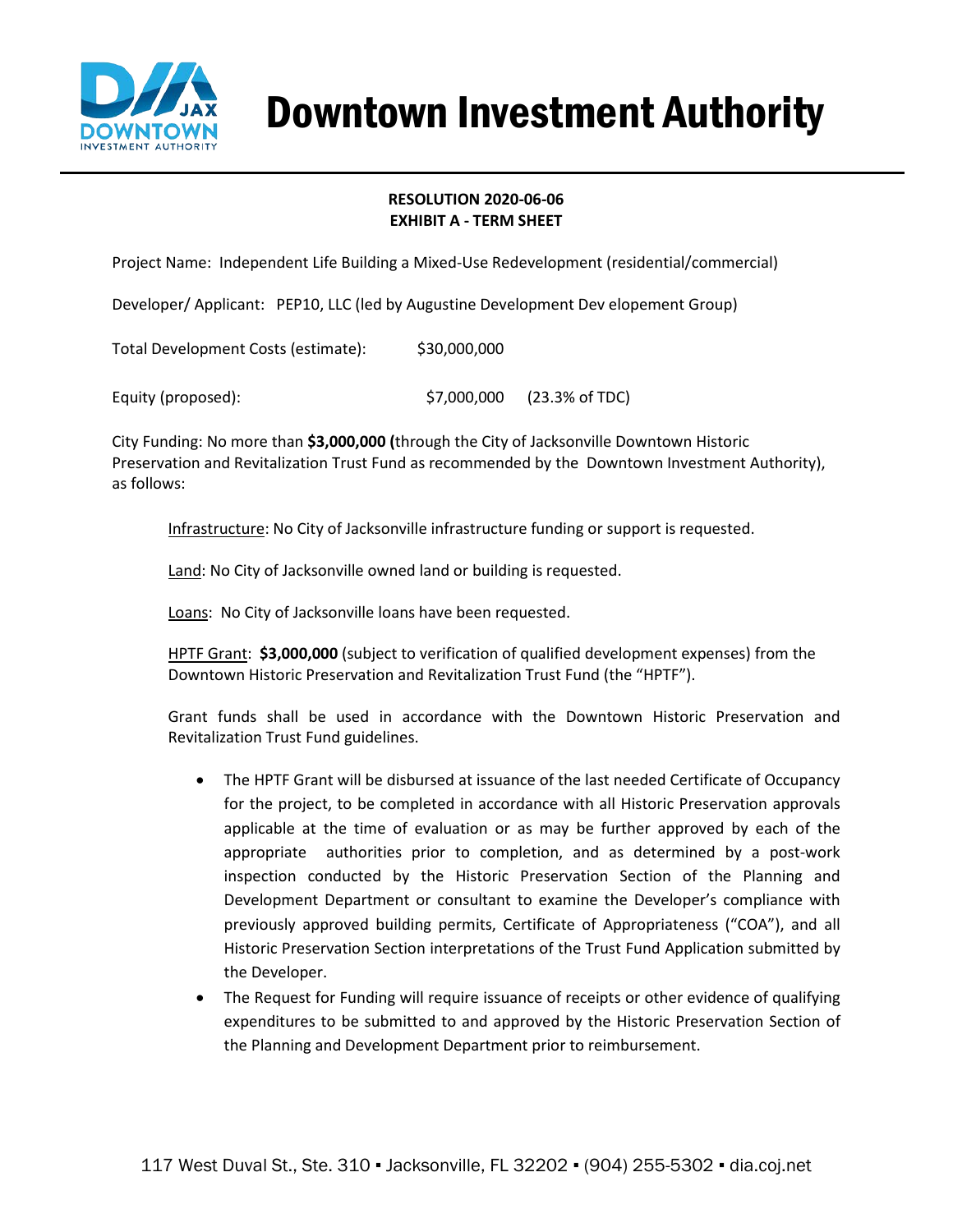

# Downtown Investment Authority

### **RESOLUTION 2020-06-06 EXHIBIT A - TERM SHEET**

Project Name: Independent Life Building a Mixed-Use Redevelopment (residential/commercial)

Developer/ Applicant: PEP10, LLC (led by Augustine Development Dev elopement Group)

Total Development Costs (estimate): \$30,000,000

Equity (proposed): \$7,000,000 (23.3% of TDC)

City Funding: No more than **\$3,000,000 (**through the City of Jacksonville Downtown Historic Preservation and Revitalization Trust Fund as recommended by the Downtown Investment Authority), as follows:

Infrastructure: No City of Jacksonville infrastructure funding or support is requested.

Land: No City of Jacksonville owned land or building is requested.

Loans: No City of Jacksonville loans have been requested.

HPTF Grant: **\$3,000,000** (subject to verification of qualified development expenses) from the Downtown Historic Preservation and Revitalization Trust Fund (the "HPTF").

Grant funds shall be used in accordance with the Downtown Historic Preservation and Revitalization Trust Fund guidelines.

- The HPTF Grant will be disbursed at issuance of the last needed Certificate of Occupancy for the project, to be completed in accordance with all Historic Preservation approvals applicable at the time of evaluation or as may be further approved by each of the appropriate authorities prior to completion, and as determined by a post-work inspection conducted by the Historic Preservation Section of the Planning and Development Department or consultant to examine the Developer's compliance with previously approved building permits, Certificate of Appropriateness ("COA"), and all Historic Preservation Section interpretations of the Trust Fund Application submitted by the Developer.
- The Request for Funding will require issuance of receipts or other evidence of qualifying expenditures to be submitted to and approved by the Historic Preservation Section of the Planning and Development Department prior to reimbursement.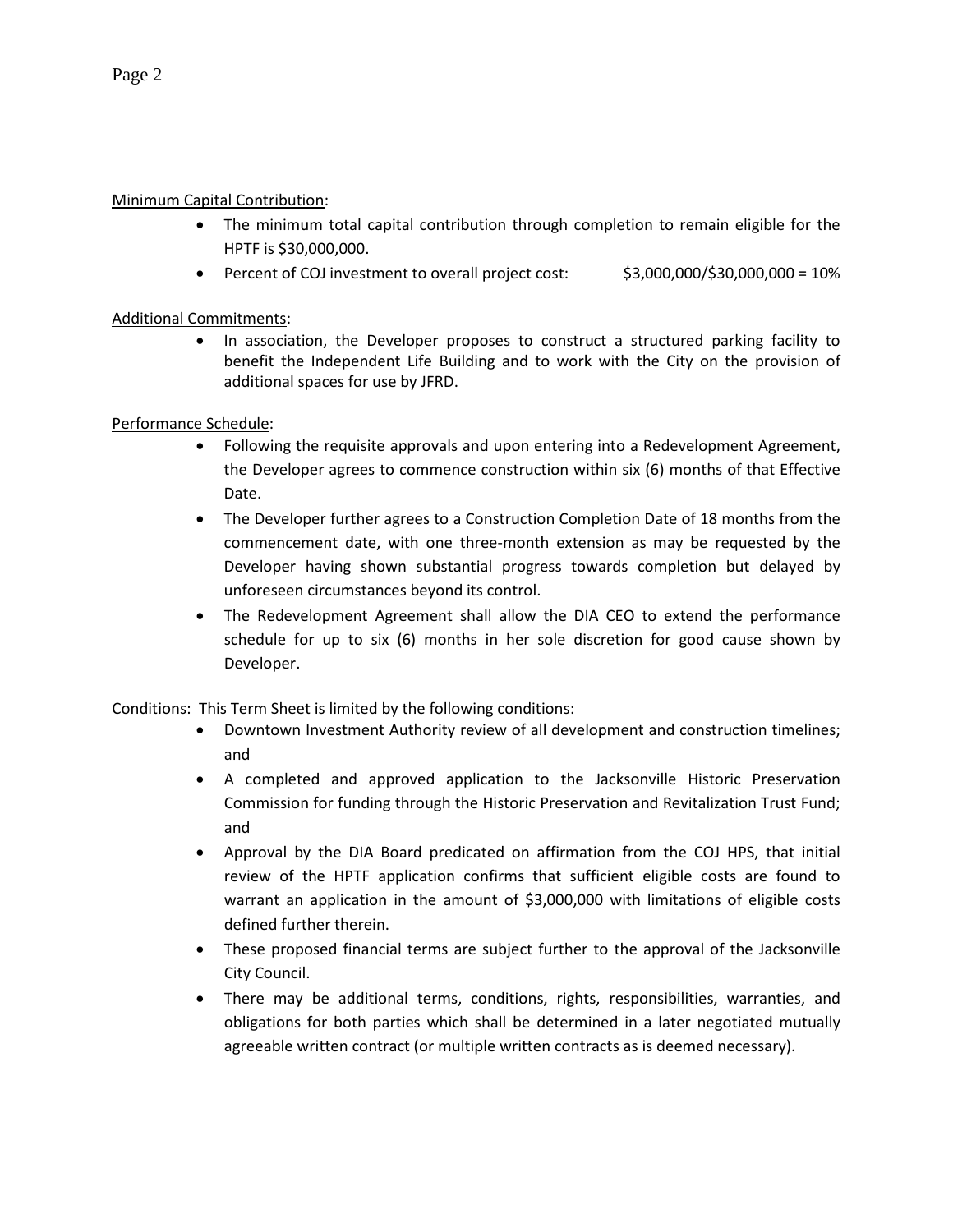#### Minimum Capital Contribution:

- The minimum total capital contribution through completion to remain eligible for the HPTF is \$30,000,000.
- Percent of COJ investment to overall project cost:  $\frac{1}{53,000,000/530,000,000} = 10\%$

#### Additional Commitments:

• In association, the Developer proposes to construct a structured parking facility to benefit the Independent Life Building and to work with the City on the provision of additional spaces for use by JFRD.

#### Performance Schedule:

- Following the requisite approvals and upon entering into a Redevelopment Agreement, the Developer agrees to commence construction within six (6) months of that Effective Date.
- The Developer further agrees to a Construction Completion Date of 18 months from the commencement date, with one three-month extension as may be requested by the Developer having shown substantial progress towards completion but delayed by unforeseen circumstances beyond its control.
- The Redevelopment Agreement shall allow the DIA CEO to extend the performance schedule for up to six (6) months in her sole discretion for good cause shown by Developer.

Conditions: This Term Sheet is limited by the following conditions:

- Downtown Investment Authority review of all development and construction timelines; and
- A completed and approved application to the Jacksonville Historic Preservation Commission for funding through the Historic Preservation and Revitalization Trust Fund; and
- Approval by the DIA Board predicated on affirmation from the COJ HPS, that initial review of the HPTF application confirms that sufficient eligible costs are found to warrant an application in the amount of \$3,000,000 with limitations of eligible costs defined further therein.
- These proposed financial terms are subject further to the approval of the Jacksonville City Council.
- There may be additional terms, conditions, rights, responsibilities, warranties, and obligations for both parties which shall be determined in a later negotiated mutually agreeable written contract (or multiple written contracts as is deemed necessary).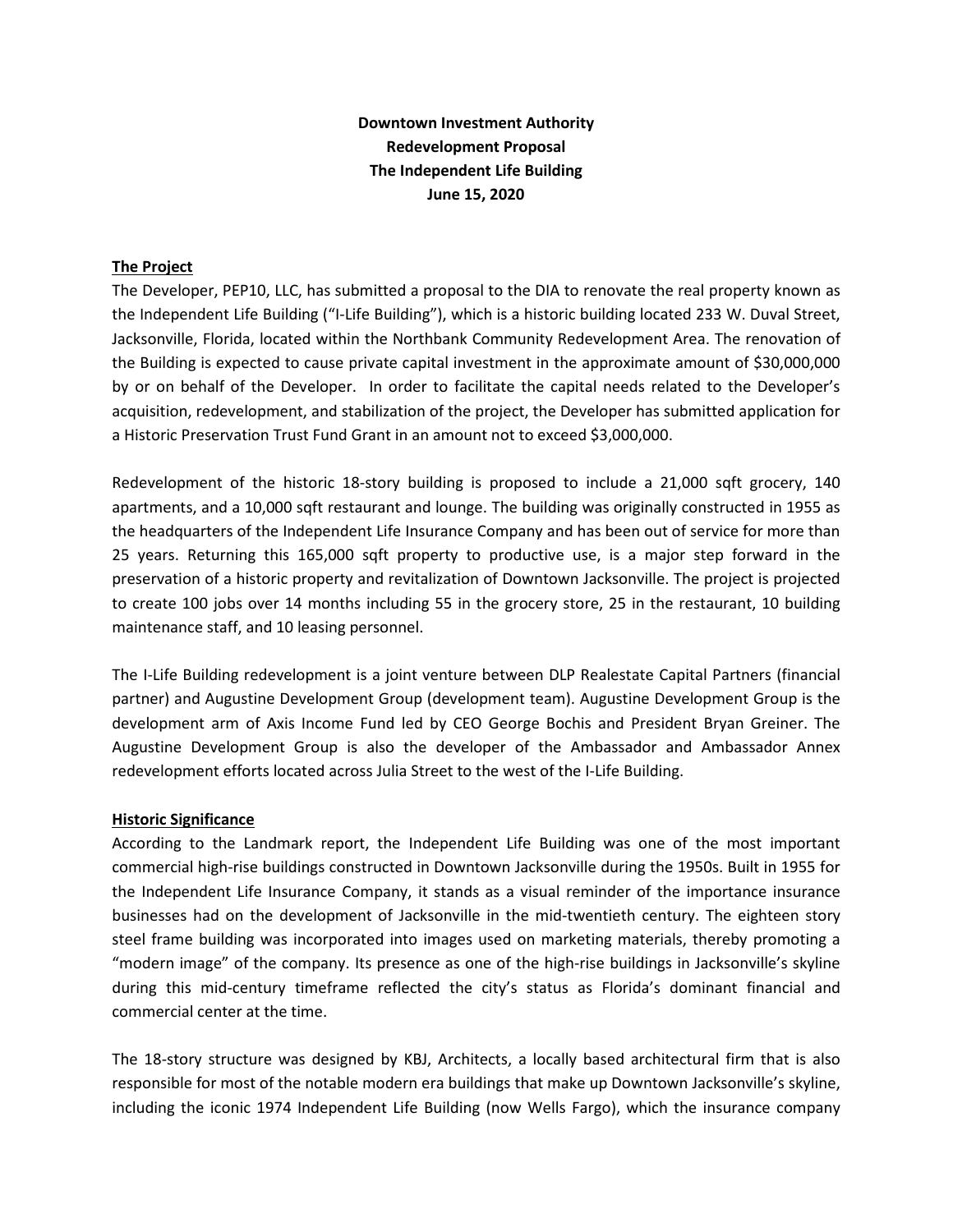## **Downtown Investment Authority Redevelopment Proposal The Independent Life Building June 15, 2020**

#### **The Project**

The Developer, PEP10, LLC, has submitted a proposal to the DIA to renovate the real property known as the Independent Life Building ("I-Life Building"), which is a historic building located 233 W. Duval Street, Jacksonville, Florida, located within the Northbank Community Redevelopment Area. The renovation of the Building is expected to cause private capital investment in the approximate amount of \$30,000,000 by or on behalf of the Developer. In order to facilitate the capital needs related to the Developer's acquisition, redevelopment, and stabilization of the project, the Developer has submitted application for a Historic Preservation Trust Fund Grant in an amount not to exceed \$3,000,000.

Redevelopment of the historic 18-story building is proposed to include a 21,000 sqft grocery, 140 apartments, and a 10,000 sqft restaurant and lounge. The building was originally constructed in 1955 as the headquarters of the Independent Life Insurance Company and has been out of service for more than 25 years. Returning this 165,000 sqft property to productive use, is a major step forward in the preservation of a historic property and revitalization of Downtown Jacksonville. The project is projected to create 100 jobs over 14 months including 55 in the grocery store, 25 in the restaurant, 10 building maintenance staff, and 10 leasing personnel.

The I-Life Building redevelopment is a joint venture between DLP Realestate Capital Partners (financial partner) and Augustine Development Group (development team). Augustine Development Group is the development arm of Axis Income Fund led by CEO George Bochis and President Bryan Greiner. The Augustine Development Group is also the developer of the Ambassador and Ambassador Annex redevelopment efforts located across Julia Street to the west of the I-Life Building.

#### **Historic Significance**

According to the Landmark report, the Independent Life Building was one of the most important commercial high-rise buildings constructed in Downtown Jacksonville during the 1950s. Built in 1955 for the Independent Life Insurance Company, it stands as a visual reminder of the importance insurance businesses had on the development of Jacksonville in the mid-twentieth century. The eighteen story steel frame building was incorporated into images used on marketing materials, thereby promoting a "modern image" of the company. Its presence as one of the high-rise buildings in Jacksonville's skyline during this mid-century timeframe reflected the city's status as Florida's dominant financial and commercial center at the time.

The 18-story structure was designed by KBJ, Architects, a locally based architectural firm that is also responsible for most of the notable modern era buildings that make up Downtown Jacksonville's skyline, including the iconic 1974 Independent Life Building (now Wells Fargo), which the insurance company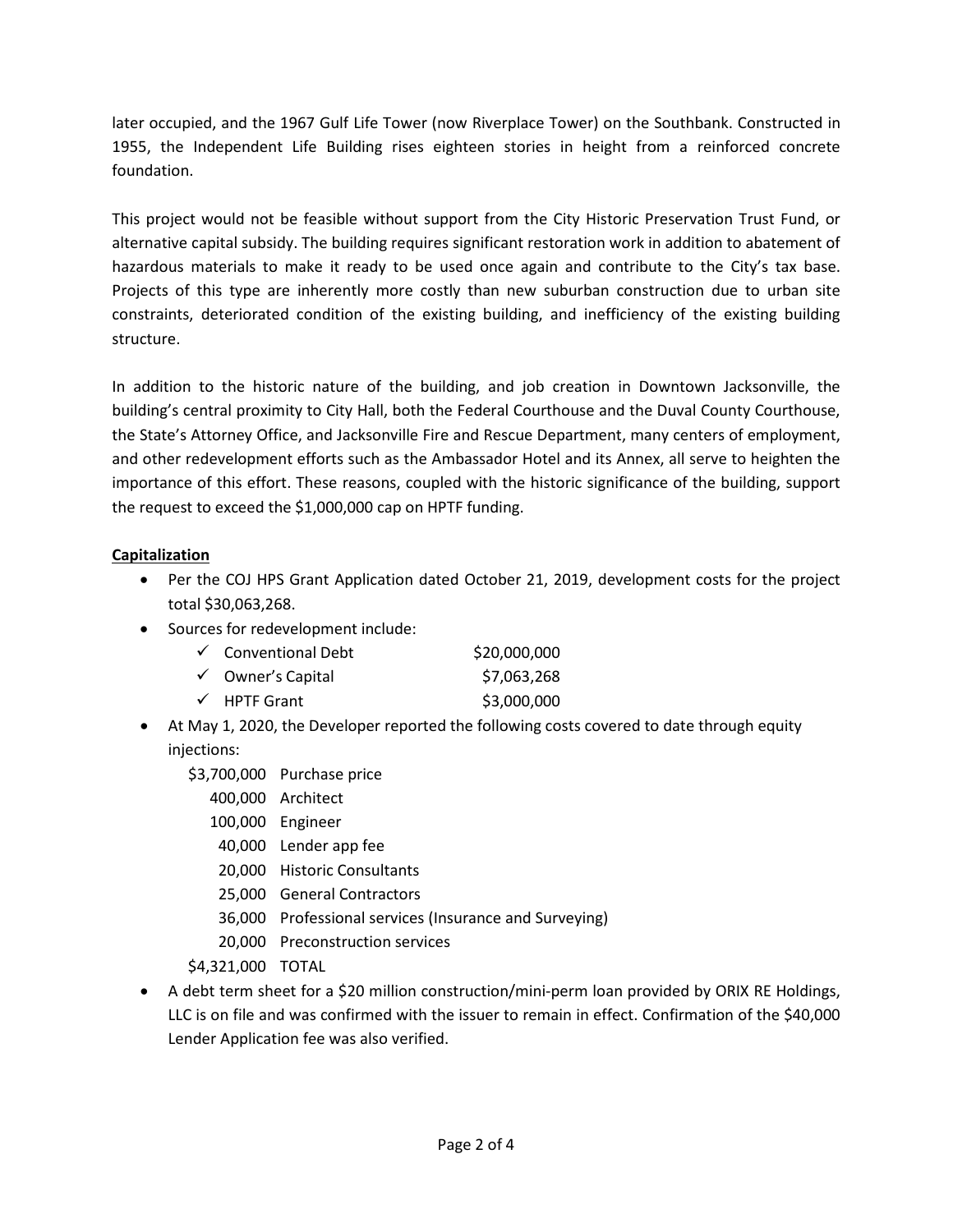later occupied, and the 1967 Gulf Life Tower (now Riverplace Tower) on the Southbank. Constructed in 1955, the Independent Life Building rises eighteen stories in height from a reinforced concrete foundation.

This project would not be feasible without support from the City Historic Preservation Trust Fund, or alternative capital subsidy. The building requires significant restoration work in addition to abatement of hazardous materials to make it ready to be used once again and contribute to the City's tax base. Projects of this type are inherently more costly than new suburban construction due to urban site constraints, deteriorated condition of the existing building, and inefficiency of the existing building structure.

In addition to the historic nature of the building, and job creation in Downtown Jacksonville, the building's central proximity to City Hall, both the Federal Courthouse and the Duval County Courthouse, the State's Attorney Office, and Jacksonville Fire and Rescue Department, many centers of employment, and other redevelopment efforts such as the Ambassador Hotel and its Annex, all serve to heighten the importance of this effort. These reasons, coupled with the historic significance of the building, support the request to exceed the \$1,000,000 cap on HPTF funding.

## **Capitalization**

- Per the COJ HPS Grant Application dated October 21, 2019, development costs for the project total \$30,063,268.
- Sources for redevelopment include:

| $\checkmark$ Conventional Debt | \$20,000,000 |
|--------------------------------|--------------|
| $\checkmark$ Owner's Capital   | \$7,063,268  |
| $\checkmark$ HPTF Grant        | \$3,000,000  |

- At May 1, 2020, the Developer reported the following costs covered to date through equity injections:
	- \$3,700,000 Purchase price
		- 400,000 Architect
		- 100,000 Engineer
		- 40,000 Lender app fee
		- 20,000 Historic Consultants
		- 25,000 General Contractors
		- 36,000 Professional services (Insurance and Surveying)
		- 20,000 Preconstruction services
	- \$4,321,000 TOTAL
- A debt term sheet for a \$20 million construction/mini-perm loan provided by ORIX RE Holdings, LLC is on file and was confirmed with the issuer to remain in effect. Confirmation of the \$40,000 Lender Application fee was also verified.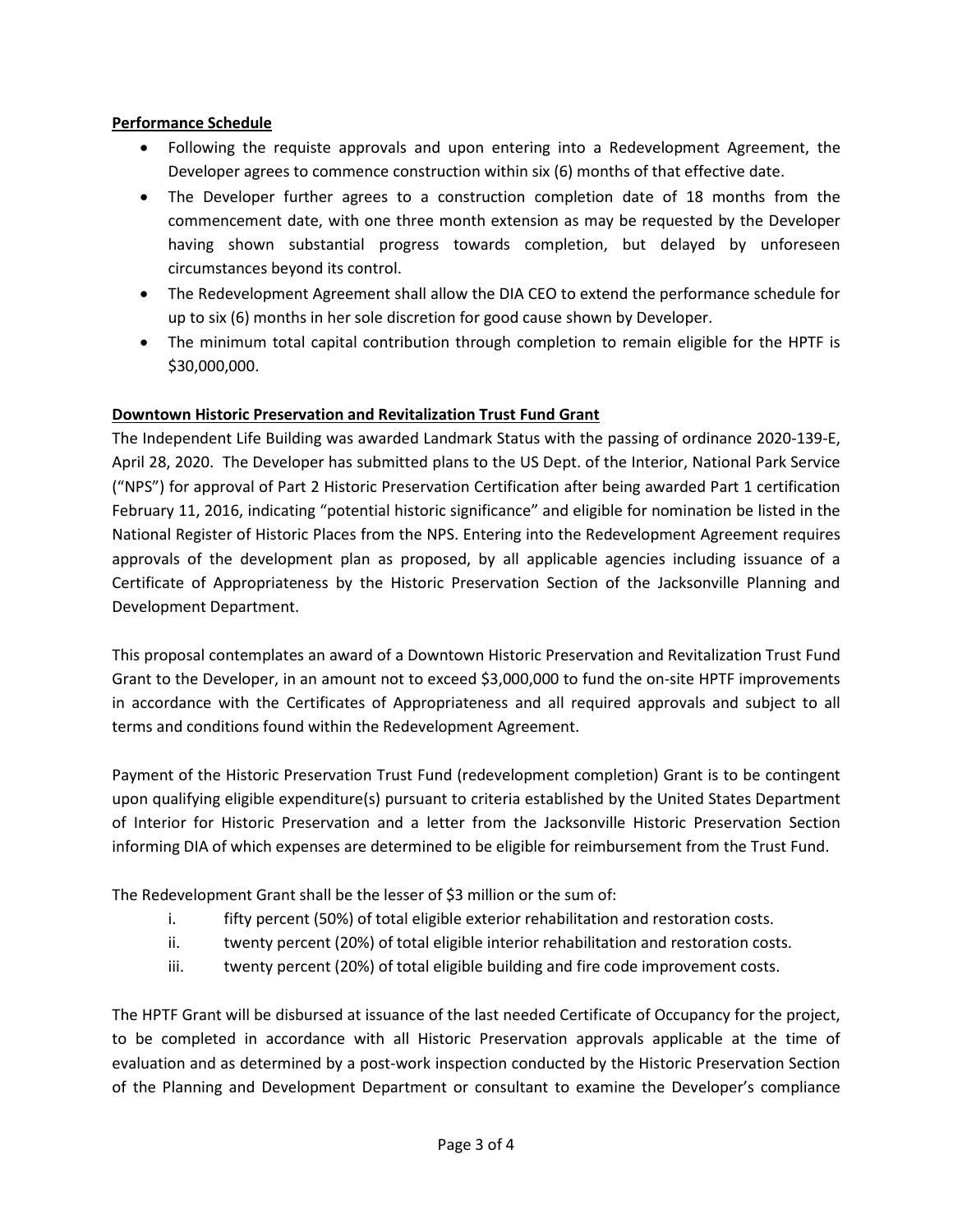#### **Performance Schedule**

- Following the requiste approvals and upon entering into a Redevelopment Agreement, the Developer agrees to commence construction within six (6) months of that effective date.
- The Developer further agrees to a construction completion date of 18 months from the commencement date, with one three month extension as may be requested by the Developer having shown substantial progress towards completion, but delayed by unforeseen circumstances beyond its control.
- The Redevelopment Agreement shall allow the DIA CEO to extend the performance schedule for up to six (6) months in her sole discretion for good cause shown by Developer.
- The minimum total capital contribution through completion to remain eligible for the HPTF is \$30,000,000.

## **Downtown Historic Preservation and Revitalization Trust Fund Grant**

The Independent Life Building was awarded Landmark Status with the passing of ordinance 2020-139-E, April 28, 2020. The Developer has submitted plans to the US Dept. of the Interior, National Park Service ("NPS") for approval of Part 2 Historic Preservation Certification after being awarded Part 1 certification February 11, 2016, indicating "potential historic significance" and eligible for nomination be listed in the National Register of Historic Places from the NPS. Entering into the Redevelopment Agreement requires approvals of the development plan as proposed, by all applicable agencies including issuance of a Certificate of Appropriateness by the Historic Preservation Section of the Jacksonville Planning and Development Department.

This proposal contemplates an award of a Downtown Historic Preservation and Revitalization Trust Fund Grant to the Developer, in an amount not to exceed \$3,000,000 to fund the on-site HPTF improvements in accordance with the Certificates of Appropriateness and all required approvals and subject to all terms and conditions found within the Redevelopment Agreement.

Payment of the Historic Preservation Trust Fund (redevelopment completion) Grant is to be contingent upon qualifying eligible expenditure(s) pursuant to criteria established by the United States Department of Interior for Historic Preservation and a letter from the Jacksonville Historic Preservation Section informing DIA of which expenses are determined to be eligible for reimbursement from the Trust Fund.

The Redevelopment Grant shall be the lesser of \$3 million or the sum of:

- i. fifty percent (50%) of total eligible exterior rehabilitation and restoration costs.
- ii. twenty percent (20%) of total eligible interior rehabilitation and restoration costs.
- iii. twenty percent (20%) of total eligible building and fire code improvement costs.

The HPTF Grant will be disbursed at issuance of the last needed Certificate of Occupancy for the project, to be completed in accordance with all Historic Preservation approvals applicable at the time of evaluation and as determined by a post-work inspection conducted by the Historic Preservation Section of the Planning and Development Department or consultant to examine the Developer's compliance